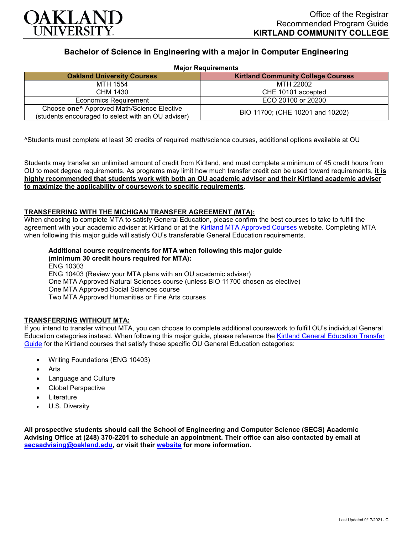

# **Bachelor of Science in Engineering with a major in Computer Engineering**

| <b>Major Requirements</b>                                                                                    |                                           |
|--------------------------------------------------------------------------------------------------------------|-------------------------------------------|
| <b>Oakland University Courses</b>                                                                            | <b>Kirtland Community College Courses</b> |
| MTH 1554                                                                                                     | MTH 22002                                 |
| CHM 1430                                                                                                     | CHE 10101 accepted                        |
| <b>Economics Requirement</b>                                                                                 | ECO 20100 or 20200                        |
| Choose one <sup>^</sup> Approved Math/Science Elective<br>(students encouraged to select with an OU adviser) | BIO 11700; (CHE 10201 and 10202)          |

^Students must complete at least 30 credits of required math/science courses, additional options available at OU

Students may transfer an unlimited amount of credit from Kirtland, and must complete a minimum of 45 credit hours from OU to meet degree requirements. As programs may limit how much transfer credit can be used toward requirements, **it is highly recommended that students work with both an OU academic adviser and their Kirtland academic adviser to maximize the applicability of coursework to specific requirements**.

## **TRANSFERRING WITH THE MICHIGAN TRANSFER AGREEMENT (MTA):**

When choosing to complete MTA to satisfy General Education, please confirm the best courses to take to fulfill the agreement with your academic adviser at Kirtland or at the [Kirtland MTA Approved Courses](https://www.kirtland.edu/registrar/michigan-transfer-agreement) website. Completing MTA when following this major guide will satisfy OU's transferable General Education requirements.

**Additional course requirements for MTA when following this major guide (minimum 30 credit hours required for MTA):** ENG 10303 ENG 10403 (Review your MTA plans with an OU academic adviser) One MTA Approved Natural Sciences course (unless BIO 11700 chosen as elective) One MTA Approved Social Sciences course Two MTA Approved Humanities or Fine Arts courses

# **TRANSFERRING WITHOUT MTA:**

If you intend to transfer without MTA, you can choose to complete additional coursework to fulfill OU's individual General Education categories instead. When following this major guide, please reference the [Kirtland General Education Transfer](https://www.oakland.edu/Assets/Oakland/program-guides/kirtland-community-college/university-general-education-requirements/Kirtland%20Gen%20Ed.pdf)  [Guide](https://www.oakland.edu/Assets/Oakland/program-guides/kirtland-community-college/university-general-education-requirements/Kirtland%20Gen%20Ed.pdf) for the Kirtland courses that satisfy these specific OU General Education categories:

- Writing Foundations (ENG 10403)
- Arts
- Language and Culture
- Global Perspective
- **Literature**
- U.S. Diversity

**All prospective students should call the School of Engineering and Computer Science (SECS) Academic Advising Office at (248) 370-2201 to schedule an appointment. Their office can also contacted by email at [secsadvising@oakland.edu,](mailto:secsadvising@oakland.edu) or visit their [website](https://wwwp.oakland.edu/secs/advising/) for more information.**